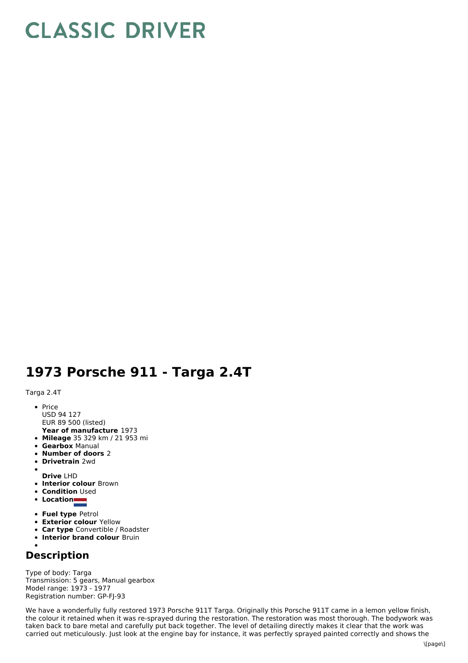## **CLASSIC DRIVER**

## **1973 Porsche 911 - Targa 2.4T**

Targa 2.4T

- Price USD 94 127
- EUR 89 500 (listed)
- **Year of manufacture** 1973
- **Mileage** 35 329 km / 21 953 mi
- **Gearbox** Manual
- **Number of doors** 2
- **Drivetrain** 2wd
- $\bullet$
- **Drive** LHD
- **Interior colour** Brown
- **Condition Used**
- **Location**
- **Fuel type** Petrol
- **Exterior colour** Yellow
- **Car type** Convertible / Roadster
- **Interior brand colour** Bruin

## **Description**

Type of body: Targa Transmission: 5 gears, Manual gearbox Model range: 1973 - 1977 Registration number: GP-FJ-93

We have a wonderfully fully restored 1973 Porsche 911T Targa. Originally this Porsche 911T came in a lemon yellow finish, the colour it retained when it was re-sprayed during the restoration. The restoration was most thorough. The bodywork was taken back to bare metal and carefully put back together. The level of detailing directly makes it clear that the work was carried out meticulously. Just look at the engine bay for instance, it was perfectly sprayed painted correctly and shows the